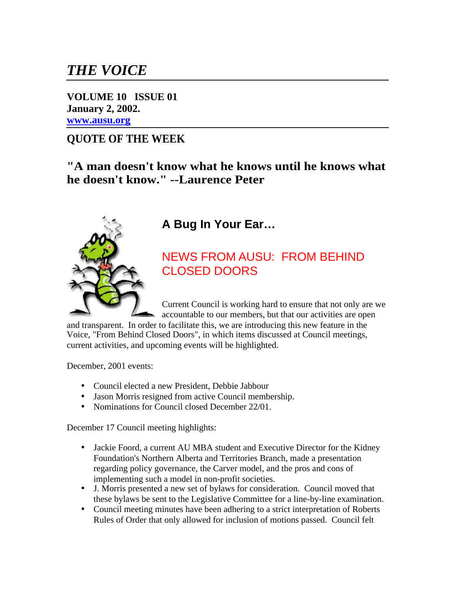# *THE VOICE*

**VOLUME 10 ISSUE 01 January 2, 2002. [www.ausu.org](http://72.52.134.4)**

### **QUOTE OF THE WEEK**

**"A man doesn't know what he knows until he knows what he doesn't know." --Laurence Peter**



## **A Bug In Your Ear…**

### NEWS FROM AUSU: FROM BEHIND CLOSED DOORS

Current Council is working hard to ensure that not only are we accountable to our members, but that our activities are open

and transparent. In order to facilitate this, we are introducing this new feature in the Voice, "From Behind Closed Doors", in which items discussed at Council meetings, current activities, and upcoming events will be highlighted.

December, 2001 events:

- Council elected a new President, Debbie Jabbour
- Jason Morris resigned from active Council membership.
- Nominations for Council closed December 22/01.

December 17 Council meeting highlights:

- Jackie Foord, a current AU MBA student and Executive Director for the Kidney Foundation's Northern Alberta and Territories Branch, made a presentation regarding policy governance, the Carver model, and the pros and cons of implementing such a model in non-profit societies.
- J. Morris presented a new set of bylaws for consideration. Council moved that these bylaws be sent to the Legislative Committee for a line-by-line examination.
- Council meeting minutes have been adhering to a strict interpretation of Roberts Rules of Order that only allowed for inclusion of motions passed. Council felt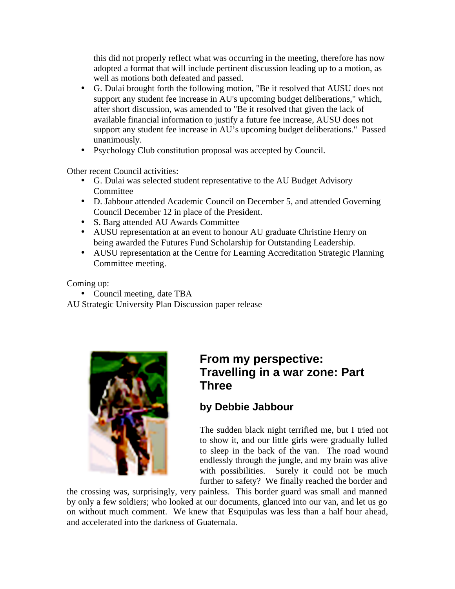this did not properly reflect what was occurring in the meeting, therefore has now adopted a format that will include pertinent discussion leading up to a motion, as well as motions both defeated and passed.

- G. Dulai brought forth the following motion, "Be it resolved that AUSU does not support any student fee increase in AU's upcoming budget deliberations," which, after short discussion, was amended to "Be it resolved that given the lack of available financial information to justify a future fee increase, AUSU does not support any student fee increase in AU's upcoming budget deliberations." Passed unanimously.
- Psychology Club constitution proposal was accepted by Council.

Other recent Council activities:

- G. Dulai was selected student representative to the AU Budget Advisory **Committee**
- D. Jabbour attended Academic Council on December 5, and attended Governing Council December 12 in place of the President.
- S. Barg attended AU Awards Committee
- AUSU representation at an event to honour AU graduate Christine Henry on being awarded the Futures Fund Scholarship for Outstanding Leadership.
- AUSU representation at the Centre for Learning Accreditation Strategic Planning Committee meeting.

Coming up:

• Council meeting, date TBA

AU Strategic University Plan Discussion paper release



### **From my perspective: Travelling in a war zone: Part Three**

### **by Debbie Jabbour**

The sudden black night terrified me, but I tried not to show it, and our little girls were gradually lulled to sleep in the back of the van. The road wound endlessly through the jungle, and my brain was alive with possibilities. Surely it could not be much further to safety? We finally reached the border and

the crossing was, surprisingly, very painless. This border guard was small and manned by only a few soldiers; who looked at our documents, glanced into our van, and let us go on without much comment. We knew that Esquipulas was less than a half hour ahead, and accelerated into the darkness of Guatemala.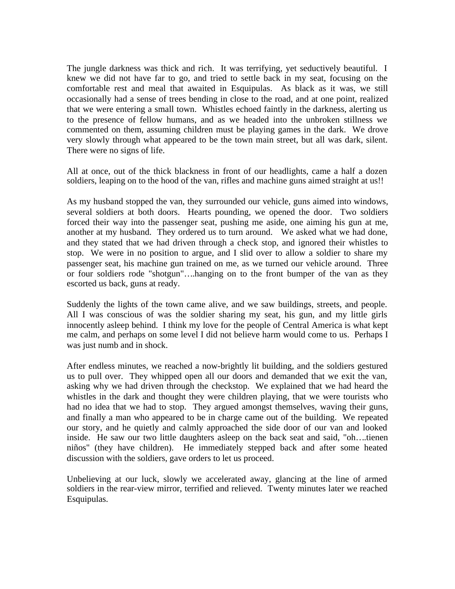The jungle darkness was thick and rich. It was terrifying, yet seductively beautiful. I knew we did not have far to go, and tried to settle back in my seat, focusing on the comfortable rest and meal that awaited in Esquipulas. As black as it was, we still occasionally had a sense of trees bending in close to the road, and at one point, realized that we were entering a small town. Whistles echoed faintly in the darkness, alerting us to the presence of fellow humans, and as we headed into the unbroken stillness we commented on them, assuming children must be playing games in the dark. We drove very slowly through what appeared to be the town main street, but all was dark, silent. There were no signs of life.

All at once, out of the thick blackness in front of our headlights, came a half a dozen soldiers, leaping on to the hood of the van, rifles and machine guns aimed straight at us!!

As my husband stopped the van, they surrounded our vehicle, guns aimed into windows, several soldiers at both doors. Hearts pounding, we opened the door. Two soldiers forced their way into the passenger seat, pushing me aside, one aiming his gun at me, another at my husband. They ordered us to turn around. We asked what we had done, and they stated that we had driven through a check stop, and ignored their whistles to stop. We were in no position to argue, and I slid over to allow a soldier to share my passenger seat, his machine gun trained on me, as we turned our vehicle around. Three or four soldiers rode "shotgun"….hanging on to the front bumper of the van as they escorted us back, guns at ready.

Suddenly the lights of the town came alive, and we saw buildings, streets, and people. All I was conscious of was the soldier sharing my seat, his gun, and my little girls innocently asleep behind. I think my love for the people of Central America is what kept me calm, and perhaps on some level I did not believe harm would come to us. Perhaps I was just numb and in shock.

After endless minutes, we reached a now-brightly lit building, and the soldiers gestured us to pull over. They whipped open all our doors and demanded that we exit the van, asking why we had driven through the checkstop. We explained that we had heard the whistles in the dark and thought they were children playing, that we were tourists who had no idea that we had to stop. They argued amongst themselves, waving their guns, and finally a man who appeared to be in charge came out of the building. We repeated our story, and he quietly and calmly approached the side door of our van and looked inside. He saw our two little daughters asleep on the back seat and said, "oh….tienen niños" (they have children). He immediately stepped back and after some heated discussion with the soldiers, gave orders to let us proceed.

Unbelieving at our luck, slowly we accelerated away, glancing at the line of armed soldiers in the rear-view mirror, terrified and relieved. Twenty minutes later we reached Esquipulas.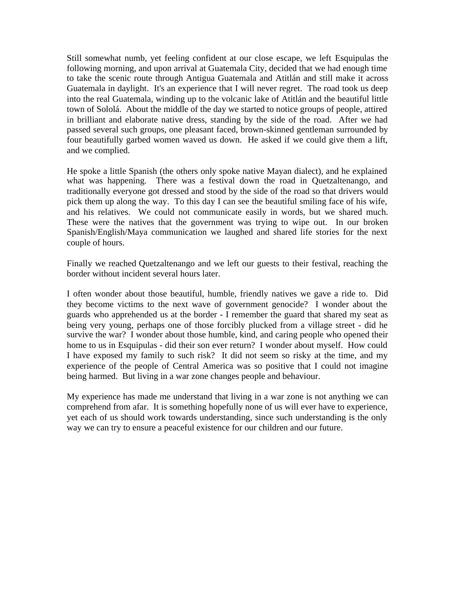Still somewhat numb, yet feeling confident at our close escape, we left Esquipulas the following morning, and upon arrival at Guatemala City, decided that we had enough time to take the scenic route through Antigua Guatemala and Atitlán and still make it across Guatemala in daylight. It's an experience that I will never regret. The road took us deep into the real Guatemala, winding up to the volcanic lake of Atitlán and the beautiful little town of Sololá. About the middle of the day we started to notice groups of people, attired in brilliant and elaborate native dress, standing by the side of the road. After we had passed several such groups, one pleasant faced, brown-skinned gentleman surrounded by four beautifully garbed women waved us down. He asked if we could give them a lift, and we complied.

He spoke a little Spanish (the others only spoke native Mayan dialect), and he explained what was happening. There was a festival down the road in Quetzaltenango, and traditionally everyone got dressed and stood by the side of the road so that drivers would pick them up along the way. To this day I can see the beautiful smiling face of his wife, and his relatives. We could not communicate easily in words, but we shared much. These were the natives that the government was trying to wipe out. In our broken Spanish/English/Maya communication we laughed and shared life stories for the next couple of hours.

Finally we reached Quetzaltenango and we left our guests to their festival, reaching the border without incident several hours later.

I often wonder about those beautiful, humble, friendly natives we gave a ride to. Did they become victims to the next wave of government genocide? I wonder about the guards who apprehended us at the border - I remember the guard that shared my seat as being very young, perhaps one of those forcibly plucked from a village street - did he survive the war? I wonder about those humble, kind, and caring people who opened their home to us in Esquipulas - did their son ever return? I wonder about myself. How could I have exposed my family to such risk? It did not seem so risky at the time, and my experience of the people of Central America was so positive that I could not imagine being harmed. But living in a war zone changes people and behaviour.

My experience has made me understand that living in a war zone is not anything we can comprehend from afar. It is something hopefully none of us will ever have to experience, yet each of us should work towards understanding, since such understanding is the only way we can try to ensure a peaceful existence for our children and our future.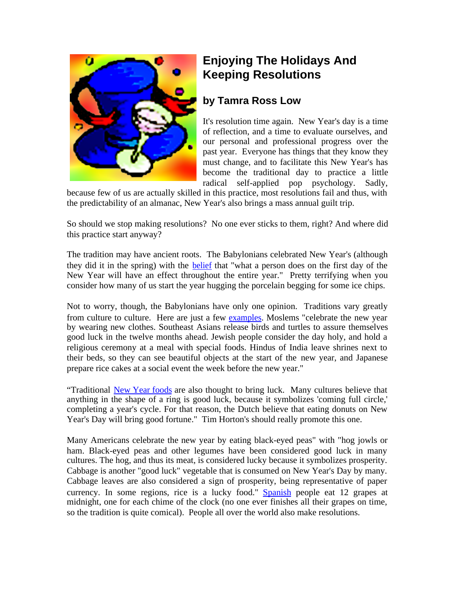

# **Enjoying The Holidays And Keeping Resolutions**

#### **by Tamra Ross Low**

It's resolution time again. New Year's day is a time of reflection, and a time to evaluate ourselves, and our personal and professional progress over the past year. Everyone has things that they know they must change, and to facilitate this New Year's has become the traditional day to practice a little radical self-applied pop psychology. Sadly,

because few of us are actually skilled in this practice, most resolutions fail and thus, with the predictability of an almanac, New Year's also brings a mass annual guilt trip.

So should we stop making resolutions? No one ever sticks to them, right? And where did this practice start anyway?

The tradition may have ancient roots. The Babylonians celebrated New Year's (although they did it in the spring) with the [belief](http://www.how-to-keep-your-new-years-resolution.com/html/background.html) that "what a person does on the first day of the New Year will have an effect throughout the entire year." Pretty terrifying when you consider how many of us start the year hugging the porcelain begging for some ice chips.

Not to worry, though, the Babylonians have only one opinion. Traditions vary greatly from culture to culture. Here are just a few [examples](http://www.usis.usemb.se/Holidays/celebrate/newyears.html). Moslems "celebrate the new year by wearing new clothes. Southeast Asians release birds and turtles to assure themselves good luck in the twelve months ahead. Jewish people consider the day holy, and hold a religious ceremony at a meal with special foods. Hindus of India leave shrines next to their beds, so they can see beautiful objects at the start of the new year, and Japanese prepare rice cakes at a social event the week before the new year."

"Traditional [New Year foods](http://wilstar.com/holidays/newyear.htm) are also thought to bring luck. Many cultures believe that anything in the shape of a ring is good luck, because it symbolizes 'coming full circle,' completing a year's cycle. For that reason, the Dutch believe that eating donuts on New Year's Day will bring good fortune." Tim Horton's should really promote this one.

Many Americans celebrate the new year by eating black-eyed peas" with "hog jowls or ham. Black-eyed peas and other legumes have been considered good luck in many cultures. The hog, and thus its meat, is considered lucky because it symbolizes prosperity. Cabbage is another "good luck" vegetable that is consumed on New Year's Day by many. Cabbage leaves are also considered a sign of prosperity, being representative of paper currency. In some regions, rice is a lucky food." [Spanish](http://www.rice.edu/projects/topics/internatl/holidays/new-year/spain-uvas.htm) people eat 12 grapes at midnight, one for each chime of the clock (no one ever finishes all their grapes on time, so the tradition is quite comical). People all over the world also make resolutions.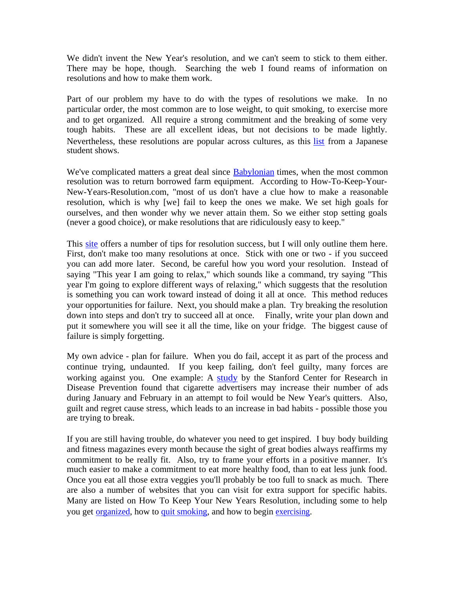We didn't invent the New Year's resolution, and we can't seem to stick to them either. There may be hope, though. Searching the web I found reams of information on resolutions and how to make them work.

Part of our problem my have to do with the types of resolutions we make. In no particular order, the most common are to lose weight, to quit smoking, to exercise more and to get organized. All require a strong commitment and the breaking of some very tough habits. These are all excellent ideas, but not decisions to be made lightly. Nevertheless, these resolutions are popular across cultures, as this [list](http://www.rice.edu/projects/topics/internatl/holidays/new-years-resolutions.htm ) from a Japanese student shows.

We've complicated matters a great deal since **[Babylonian](http://wilstar.com/holidays/newyear.htm)** times, when the most common resolution was to return borrowed farm equipment. According to How-To-Keep-Your-New-Years-Resolution.com, "most of us don't have a clue how to make a reasonable resolution, which is why [we] fail to keep the ones we make. We set high goals for ourselves, and then wonder why we never attain them. So we either stop setting goals (never a good choice), or make resolutions that are ridiculously easy to keep."

This [site](http://www.how-to-keep-your-new-years-resolution.com/html/success.html) offers a number of tips for resolution success, but I will only outline them here. First, don't make too many resolutions at once. Stick with one or two - if you succeed you can add more later. Second, be careful how you word your resolution. Instead of saying "This year I am going to relax," which sounds like a command, try saying "This year I'm going to explore different ways of relaxing," which suggests that the resolution is something you can work toward instead of doing it all at once. This method reduces your opportunities for failure. Next, you should make a plan. Try breaking the resolution down into steps and don't try to succeed all at once. Finally, write your plan down and put it somewhere you will see it all the time, like on your fridge. The biggest cause of failure is simply forgetting.

My own advice - plan for failure. When you do fail, accept it as part of the process and continue trying, undaunted. If you keep failing, don't feel guilty, many forces are working against you. One example: A [study](http://www.du.edu/~mbasil/cigads.html ) by the Stanford Center for Research in Disease Prevention found that cigarette advertisers may increase their number of ads during January and February in an attempt to foil would be New Year's quitters. Also, guilt and regret cause stress, which leads to an increase in bad habits - possible those you are trying to break.

If you are still having trouble, do whatever you need to get inspired. I buy body building and fitness magazines every month because the sight of great bodies always reaffirms my commitment to be really fit. Also, try to frame your efforts in a positive manner. It's much easier to make a commitment to eat more healthy food, than to eat less junk food. Once you eat all those extra veggies you'll probably be too full to snack as much. There are also a number of websites that you can visit for extra support for specific habits. Many are listed on How To Keep Your New Years Resolution, including some to help you get [organized](http://www.get-a-grip-on-your-life.com), how to [quit smoking](http://www.feel-better-quit-smoking.com/), and how to begin [exercising](http://www.feel-better-with-exercise.com/).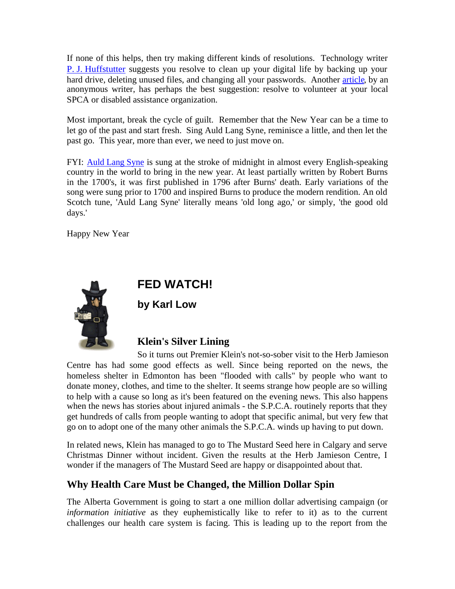If none of this helps, then try making different kinds of resolutions. Technology writer [P. J. Huffstutter](http://www.latimes.com/technology/la-000102342dec27.story?coll=la-headlines-technology) suggests you resolve to clean up your digital life by backing up your hard drive, deleting unused files, and changing all your passwords. Another [article](http://inin.essortment.com/newyearsresol_rrlb.htm), by an anonymous writer, has perhaps the best suggestion: resolve to volunteer at your local SPCA or disabled assistance organization.

Most important, break the cycle of guilt. Remember that the New Year can be a time to let go of the past and start fresh. Sing Auld Lang Syne, reminisce a little, and then let the past go. This year, more than ever, we need to just move on.

FYI: [Auld Lang Syne](http://wilstar.com/holidays/newyear.htm) is sung at the stroke of midnight in almost every English-speaking country in the world to bring in the new year. At least partially written by Robert Burns in the 1700's, it was first published in 1796 after Burns' death. Early variations of the song were sung prior to 1700 and inspired Burns to produce the modern rendition. An old Scotch tune, 'Auld Lang Syne' literally means 'old long ago,' or simply, 'the good old days.'

Happy New Year



## **FED WATCH!**

**by Karl Low**

### **Klein's Silver Lining**

So it turns out Premier Klein's not-so-sober visit to the Herb Jamieson Centre has had some good effects as well. Since being reported on the news, the homeless shelter in Edmonton has been "flooded with calls" by people who want to donate money, clothes, and time to the shelter. It seems strange how people are so willing to help with a cause so long as it's been featured on the evening news. This also happens when the news has stories about injured animals - the S.P.C.A. routinely reports that they get hundreds of calls from people wanting to adopt that specific animal, but very few that go on to adopt one of the many other animals the S.P.C.A. winds up having to put down.

In related news, Klein has managed to go to The Mustard Seed here in Calgary and serve Christmas Dinner without incident. Given the results at the Herb Jamieson Centre, I wonder if the managers of The Mustard Seed are happy or disappointed about that.

### **Why Health Care Must be Changed, the Million Dollar Spin**

The Alberta Government is going to start a one million dollar advertising campaign (or *information initiative* as they euphemistically like to refer to it) as to the current challenges our health care system is facing. This is leading up to the report from the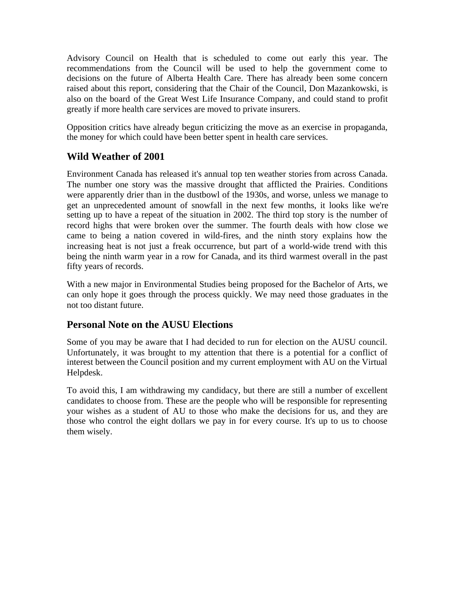Advisory Council on Health that is scheduled to come out early this year. The recommendations from the Council will be used to help the government come to decisions on the future of Alberta Health Care. There has already been some concern raised about this report, considering that the Chair of the Council, Don Mazankowski, is also on the board of the Great West Life Insurance Company, and could stand to profit greatly if more health care services are moved to private insurers.

Opposition critics have already begun criticizing the move as an exercise in propaganda, the money for which could have been better spent in health care services.

#### **Wild Weather of 2001**

Environment Canada has released it's annual top ten weather stories from across Canada. The number one story was the massive drought that afflicted the Prairies. Conditions were apparently drier than in the dustbowl of the 1930s, and worse, unless we manage to get an unprecedented amount of snowfall in the next few months, it looks like we're setting up to have a repeat of the situation in 2002. The third top story is the number of record highs that were broken over the summer. The fourth deals with how close we came to being a nation covered in wild-fires, and the ninth story explains how the increasing heat is not just a freak occurrence, but part of a world-wide trend with this being the ninth warm year in a row for Canada, and its third warmest overall in the past fifty years of records.

With a new major in Environmental Studies being proposed for the Bachelor of Arts, we can only hope it goes through the process quickly. We may need those graduates in the not too distant future.

#### **Personal Note on the AUSU Elections**

Some of you may be aware that I had decided to run for election on the AUSU council. Unfortunately, it was brought to my attention that there is a potential for a conflict of interest between the Council position and my current employment with AU on the Virtual Helpdesk.

To avoid this, I am withdrawing my candidacy, but there are still a number of excellent candidates to choose from. These are the people who will be responsible for representing your wishes as a student of AU to those who make the decisions for us, and they are those who control the eight dollars we pay in for every course. It's up to us to choose them wisely.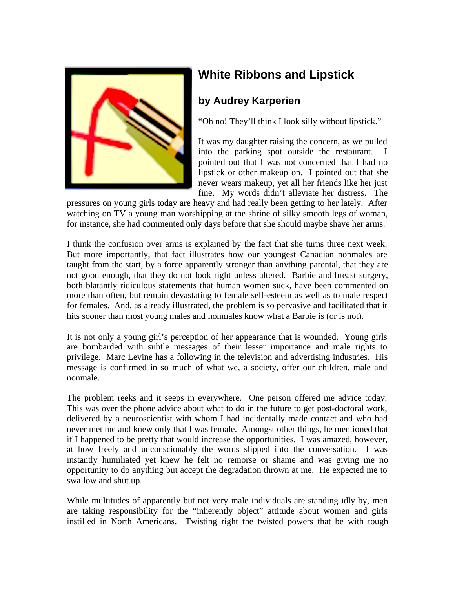

# **White Ribbons and Lipstick**

### **by Audrey Karperien**

"Oh no! They'll think I look silly without lipstick."

It was my daughter raising the concern, as we pulled into the parking spot outside the restaurant. pointed out that I was not concerned that I had no lipstick or other makeup on. I pointed out that she never wears makeup, yet all her friends like her just fine. My words didn't alleviate her distress. The

pressures on young girls today are heavy and had really been getting to her lately. After watching on TV a young man worshipping at the shrine of silky smooth legs of woman, for instance, she had commented only days before that she should maybe shave her arms.

I think the confusion over arms is explained by the fact that she turns three next week. But more importantly, that fact illustrates how our youngest Canadian nonmales are taught from the start, by a force apparently stronger than anything parental, that they are not good enough, that they do not look right unless altered. Barbie and breast surgery, both blatantly ridiculous statements that human women suck, have been commented on more than often, but remain devastating to female self-esteem as well as to male respect for females. And, as already illustrated, the problem is so pervasive and facilitated that it hits sooner than most young males and nonmales know what a Barbie is (or is not).

It is not only a young girl's perception of her appearance that is wounded. Young girls are bombarded with subtle messages of their lesser importance and male rights to privilege. Marc Levine has a following in the television and advertising industries. His message is confirmed in so much of what we, a society, offer our children, male and nonmale.

The problem reeks and it seeps in everywhere. One person offered me advice today. This was over the phone advice about what to do in the future to get post-doctoral work, delivered by a neuroscientist with whom I had incidentally made contact and who had never met me and knew only that I was female. Amongst other things, he mentioned that if I happened to be pretty that would increase the opportunities. I was amazed, however, at how freely and unconscionably the words slipped into the conversation. I was instantly humiliated yet knew he felt no remorse or shame and was giving me no opportunity to do anything but accept the degradation thrown at me. He expected me to swallow and shut up.

While multitudes of apparently but not very male individuals are standing idly by, men are taking responsibility for the "inherently object" attitude about women and girls instilled in North Americans. Twisting right the twisted powers that be with tough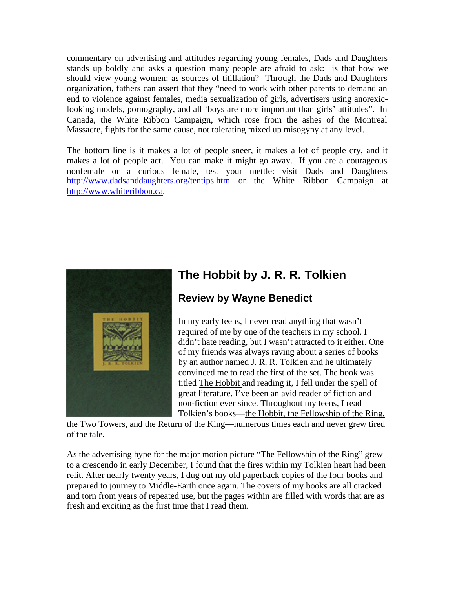commentary on advertising and attitudes regarding young females, Dads and Daughters stands up boldly and asks a question many people are afraid to ask: is that how we should view young women: as sources of titillation? Through the Dads and Daughters organization, fathers can assert that they "need to work with other parents to demand an end to violence against females, media sexualization of girls, advertisers using anorexiclooking models, pornography, and all 'boys are more important than girls' attitudes". In Canada, the White Ribbon Campaign, which rose from the ashes of the Montreal Massacre, fights for the same cause, not tolerating mixed up misogyny at any level.

The bottom line is it makes a lot of people sneer, it makes a lot of people cry, and it makes a lot of people act. You can make it might go away. If you are a courageous nonfemale or a curious female, test your mettle: visit Dads and Daughters <http://www.dadsanddaughters.org/tentips.htm> or the White Ribbon Campaign at <http://www.whiteribbon.ca>.



# **The Hobbit by J. R. R. Tolkien**

### **Review by Wayne Benedict**

In my early teens, I never read anything that wasn't required of me by one of the teachers in my school. I didn't hate reading, but I wasn't attracted to it either. One of my friends was always raving about a series of books by an author named J. R. R. Tolkien and he ultimately convinced me to read the first of the set. The book was titled The Hobbit and reading it, I fell under the spell of great literature. I've been an avid reader of fiction and non-fiction ever since. Throughout my teens, I read Tolkien's books—the Hobbit, the Fellowship of the Ring,

the Two Towers, and the Return of the King—numerous times each and never grew tired of the tale.

As the advertising hype for the major motion picture "The Fellowship of the Ring" grew to a crescendo in early December, I found that the fires within my Tolkien heart had been relit. After nearly twenty years, I dug out my old paperback copies of the four books and prepared to journey to Middle-Earth once again. The covers of my books are all cracked and torn from years of repeated use, but the pages within are filled with words that are as fresh and exciting as the first time that I read them.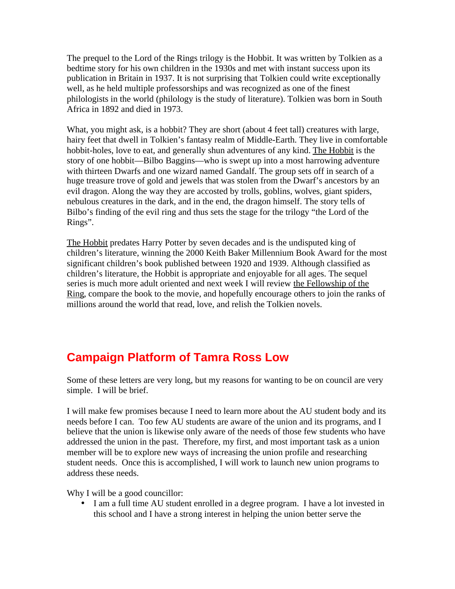The prequel to the Lord of the Rings trilogy is the Hobbit. It was written by Tolkien as a bedtime story for his own children in the 1930s and met with instant success upon its publication in Britain in 1937. It is not surprising that Tolkien could write exceptionally well, as he held multiple professorships and was recognized as one of the finest philologists in the world (philology is the study of literature). Tolkien was born in South Africa in 1892 and died in 1973.

What, you might ask, is a hobbit? They are short (about 4 feet tall) creatures with large, hairy feet that dwell in Tolkien's fantasy realm of Middle-Earth. They live in comfortable hobbit-holes, love to eat, and generally shun adventures of any kind. The Hobbit is the story of one hobbit—Bilbo Baggins—who is swept up into a most harrowing adventure with thirteen Dwarfs and one wizard named Gandalf. The group sets off in search of a huge treasure trove of gold and jewels that was stolen from the Dwarf's ancestors by an evil dragon. Along the way they are accosted by trolls, goblins, wolves, giant spiders, nebulous creatures in the dark, and in the end, the dragon himself. The story tells of Bilbo's finding of the evil ring and thus sets the stage for the trilogy "the Lord of the Rings".

The Hobbit predates Harry Potter by seven decades and is the undisputed king of children's literature, winning the 2000 Keith Baker Millennium Book Award for the most significant children's book published between 1920 and 1939. Although classified as children's literature, the Hobbit is appropriate and enjoyable for all ages. The sequel series is much more adult oriented and next week I will review the Fellowship of the Ring, compare the book to the movie, and hopefully encourage others to join the ranks of millions around the world that read, love, and relish the Tolkien novels.

# **Campaign Platform of Tamra Ross Low**

Some of these letters are very long, but my reasons for wanting to be on council are very simple. I will be brief.

I will make few promises because I need to learn more about the AU student body and its needs before I can. Too few AU students are aware of the union and its programs, and I believe that the union is likewise only aware of the needs of those few students who have addressed the union in the past. Therefore, my first, and most important task as a union member will be to explore new ways of increasing the union profile and researching student needs. Once this is accomplished, I will work to launch new union programs to address these needs.

Why I will be a good councillor:

• I am a full time AU student enrolled in a degree program. I have a lot invested in this school and I have a strong interest in helping the union better serve the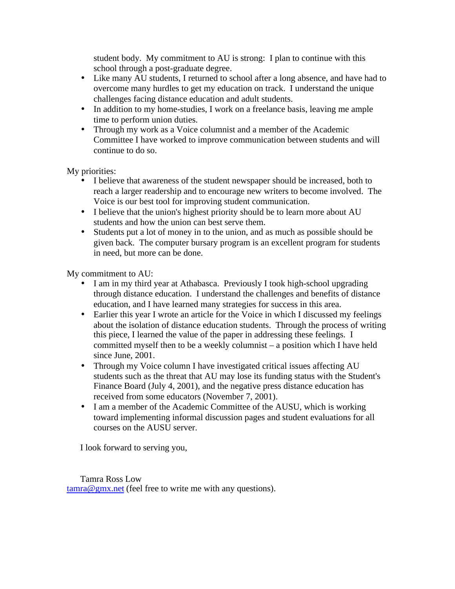student body. My commitment to AU is strong: I plan to continue with this school through a post-graduate degree.

- Like many AU students, I returned to school after a long absence, and have had to overcome many hurdles to get my education on track. I understand the unique challenges facing distance education and adult students.
- In addition to my home-studies, I work on a freelance basis, leaving me ample time to perform union duties.
- Through my work as a Voice columnist and a member of the Academic Committee I have worked to improve communication between students and will continue to do so.

My priorities:

- I believe that awareness of the student newspaper should be increased, both to reach a larger readership and to encourage new writers to become involved. The Voice is our best tool for improving student communication.
- I believe that the union's highest priority should be to learn more about AU students and how the union can best serve them.
- Students put a lot of money in to the union, and as much as possible should be given back. The computer bursary program is an excellent program for students in need, but more can be done.

My commitment to AU:

- I am in my third year at Athabasca. Previously I took high-school upgrading through distance education. I understand the challenges and benefits of distance education, and I have learned many strategies for success in this area.
- Earlier this year I wrote an article for the Voice in which I discussed my feelings about the isolation of distance education students. Through the process of writing this piece, I learned the value of the paper in addressing these feelings. I committed myself then to be a weekly columnist – a position which I have held since June, 2001.
- Through my Voice column I have investigated critical issues affecting AU students such as the threat that AU may lose its funding status with the Student's Finance Board (July 4, 2001), and the negative press distance education has received from some educators (November 7, 2001).
- I am a member of the Academic Committee of the AUSU, which is working toward implementing informal discussion pages and student evaluations for all courses on the AUSU server.

I look forward to serving you,

Tamra Ross Low [tamra@gmx.net](mailto:tamra@gmx.net) (feel free to write me with any questions).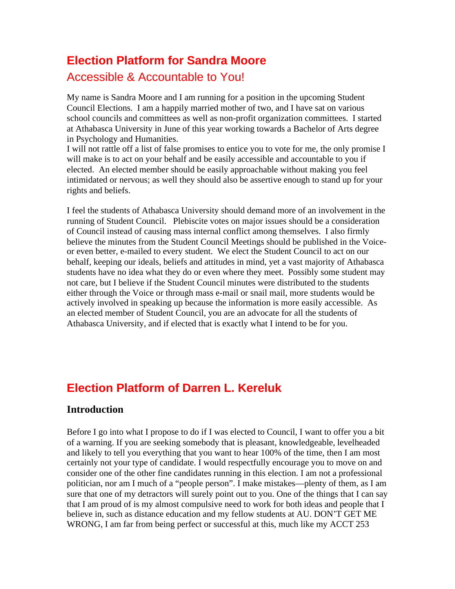# **Election Platform for Sandra Moore** Accessible & Accountable to You!

My name is Sandra Moore and I am running for a position in the upcoming Student Council Elections. I am a happily married mother of two, and I have sat on various school councils and committees as well as non-profit organization committees. I started at Athabasca University in June of this year working towards a Bachelor of Arts degree in Psychology and Humanities.

I will not rattle off a list of false promises to entice you to vote for me, the only promise I will make is to act on your behalf and be easily accessible and accountable to you if elected. An elected member should be easily approachable without making you feel intimidated or nervous; as well they should also be assertive enough to stand up for your rights and beliefs.

I feel the students of Athabasca University should demand more of an involvement in the running of Student Council. Plebiscite votes on major issues should be a consideration of Council instead of causing mass internal conflict among themselves. I also firmly believe the minutes from the Student Council Meetings should be published in the Voiceor even better, e-mailed to every student. We elect the Student Council to act on our behalf, keeping our ideals, beliefs and attitudes in mind, yet a vast majority of Athabasca students have no idea what they do or even where they meet. Possibly some student may not care, but I believe if the Student Council minutes were distributed to the students either through the Voice or through mass e-mail or snail mail, more students would be actively involved in speaking up because the information is more easily accessible. As an elected member of Student Council, you are an advocate for all the students of Athabasca University, and if elected that is exactly what I intend to be for you.

# **Election Platform of Darren L. Kereluk**

#### **Introduction**

Before I go into what I propose to do if I was elected to Council, I want to offer you a bit of a warning. If you are seeking somebody that is pleasant, knowledgeable, levelheaded and likely to tell you everything that you want to hear 100% of the time, then I am most certainly not your type of candidate. I would respectfully encourage you to move on and consider one of the other fine candidates running in this election. I am not a professional politician, nor am I much of a "people person". I make mistakes—plenty of them, as I am sure that one of my detractors will surely point out to you. One of the things that I can say that I am proud of is my almost compulsive need to work for both ideas and people that I believe in, such as distance education and my fellow students at AU. DON'T GET ME WRONG, I am far from being perfect or successful at this, much like my ACCT 253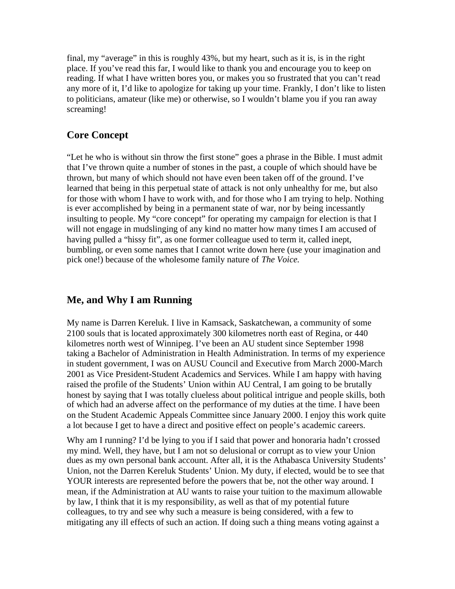final, my "average" in this is roughly 43%, but my heart, such as it is, is in the right place. If you've read this far, I would like to thank you and encourage you to keep on reading. If what I have written bores you, or makes you so frustrated that you can't read any more of it, I'd like to apologize for taking up your time. Frankly, I don't like to listen to politicians, amateur (like me) or otherwise, so I wouldn't blame you if you ran away screaming!

#### **Core Concept**

"Let he who is without sin throw the first stone" goes a phrase in the Bible. I must admit that I've thrown quite a number of stones in the past, a couple of which should have be thrown, but many of which should not have even been taken off of the ground. I've learned that being in this perpetual state of attack is not only unhealthy for me, but also for those with whom I have to work with, and for those who I am trying to help. Nothing is ever accomplished by being in a permanent state of war, nor by being incessantly insulting to people. My "core concept" for operating my campaign for election is that I will not engage in mudslinging of any kind no matter how many times I am accused of having pulled a "hissy fit", as one former colleague used to term it, called inept, bumbling, or even some names that I cannot write down here (use your imagination and pick one!) because of the wholesome family nature of *The Voice.*

#### **Me, and Why I am Running**

My name is Darren Kereluk. I live in Kamsack, Saskatchewan, a community of some 2100 souls that is located approximately 300 kilometres north east of Regina, or 440 kilometres north west of Winnipeg. I've been an AU student since September 1998 taking a Bachelor of Administration in Health Administration. In terms of my experience in student government, I was on AUSU Council and Executive from March 2000-March 2001 as Vice President-Student Academics and Services. While I am happy with having raised the profile of the Students' Union within AU Central, I am going to be brutally honest by saying that I was totally clueless about political intrigue and people skills, both of which had an adverse affect on the performance of my duties at the time. I have been on the Student Academic Appeals Committee since January 2000. I enjoy this work quite a lot because I get to have a direct and positive effect on people's academic careers.

Why am I running? I'd be lying to you if I said that power and honoraria hadn't crossed my mind. Well, they have, but I am not so delusional or corrupt as to view your Union dues as my own personal bank account. After all, it is the Athabasca University Students' Union, not the Darren Kereluk Students' Union. My duty, if elected, would be to see that YOUR interests are represented before the powers that be, not the other way around. I mean, if the Administration at AU wants to raise your tuition to the maximum allowable by law, I think that it is my responsibility, as well as that of my potential future colleagues, to try and see why such a measure is being considered, with a few to mitigating any ill effects of such an action. If doing such a thing means voting against a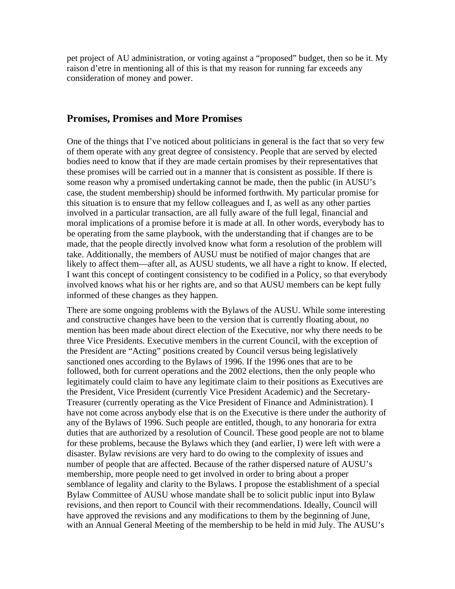pet project of AU administration, or voting against a "proposed" budget, then so be it. My raison d'etre in mentioning all of this is that my reason for running far exceeds any consideration of money and power.

#### **Promises, Promises and More Promises**

One of the things that I've noticed about politicians in general is the fact that so very few of them operate with any great degree of consistency. People that are served by elected bodies need to know that if they are made certain promises by their representatives that these promises will be carried out in a manner that is consistent as possible. If there is some reason why a promised undertaking cannot be made, then the public (in AUSU's case, the student membership) should be informed forthwith. My particular promise for this situation is to ensure that my fellow colleagues and I, as well as any other parties involved in a particular transaction, are all fully aware of the full legal, financial and moral implications of a promise before it is made at all. In other words, everybody has to be operating from the same playbook, with the understanding that if changes are to be made, that the people directly involved know what form a resolution of the problem will take. Additionally, the members of AUSU must be notified of major changes that are likely to affect them—after all, as AUSU students, we all have a right to know. If elected, I want this concept of contingent consistency to be codified in a Policy, so that everybody involved knows what his or her rights are, and so that AUSU members can be kept fully informed of these changes as they happen.

There are some ongoing problems with the Bylaws of the AUSU. While some interesting and constructive changes have been to the version that is currently floating about, no mention has been made about direct election of the Executive, nor why there needs to be three Vice Presidents. Executive members in the current Council, with the exception of the President are "Acting" positions created by Council versus being legislatively sanctioned ones according to the Bylaws of 1996. If the 1996 ones that are to be followed, both for current operations and the 2002 elections, then the only people who legitimately could claim to have any legitimate claim to their positions as Executives are the President, Vice President (currently Vice President Academic) and the Secretary-Treasurer (currently operating as the Vice President of Finance and Administration). I have not come across anybody else that is on the Executive is there under the authority of any of the Bylaws of 1996. Such people are entitled, though, to any honoraria for extra duties that are authorized by a resolution of Council. These good people are not to blame for these problems, because the Bylaws which they (and earlier, I) were left with were a disaster. Bylaw revisions are very hard to do owing to the complexity of issues and number of people that are affected. Because of the rather dispersed nature of AUSU's membership, more people need to get involved in order to bring about a proper semblance of legality and clarity to the Bylaws. I propose the establishment of a special Bylaw Committee of AUSU whose mandate shall be to solicit public input into Bylaw revisions, and then report to Council with their recommendations. Ideally, Council will have approved the revisions and any modifications to them by the beginning of June, with an Annual General Meeting of the membership to be held in mid July. The AUSU's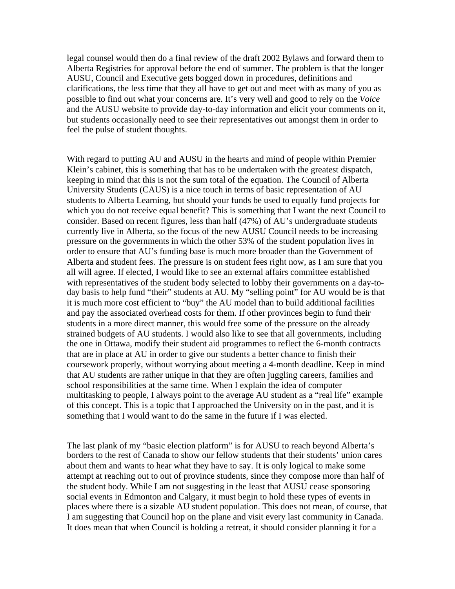legal counsel would then do a final review of the draft 2002 Bylaws and forward them to Alberta Registries for approval before the end of summer. The problem is that the longer AUSU, Council and Executive gets bogged down in procedures, definitions and clarifications, the less time that they all have to get out and meet with as many of you as possible to find out what your concerns are. It's very well and good to rely on the *Voice* and the AUSU website to provide day-to-day information and elicit your comments on it, but students occasionally need to see their representatives out amongst them in order to feel the pulse of student thoughts.

With regard to putting AU and AUSU in the hearts and mind of people within Premier Klein's cabinet, this is something that has to be undertaken with the greatest dispatch, keeping in mind that this is not the sum total of the equation. The Council of Alberta University Students (CAUS) is a nice touch in terms of basic representation of AU students to Alberta Learning, but should your funds be used to equally fund projects for which you do not receive equal benefit? This is something that I want the next Council to consider. Based on recent figures, less than half (47%) of AU's undergraduate students currently live in Alberta, so the focus of the new AUSU Council needs to be increasing pressure on the governments in which the other 53% of the student population lives in order to ensure that AU's funding base is much more broader than the Government of Alberta and student fees. The pressure is on student fees right now, as I am sure that you all will agree. If elected, I would like to see an external affairs committee established with representatives of the student body selected to lobby their governments on a day-today basis to help fund "their" students at AU. My "selling point" for AU would be is that it is much more cost efficient to "buy" the AU model than to build additional facilities and pay the associated overhead costs for them. If other provinces begin to fund their students in a more direct manner, this would free some of the pressure on the already strained budgets of AU students. I would also like to see that all governments, including the one in Ottawa, modify their student aid programmes to reflect the 6-month contracts that are in place at AU in order to give our students a better chance to finish their coursework properly, without worrying about meeting a 4-month deadline. Keep in mind that AU students are rather unique in that they are often juggling careers, families and school responsibilities at the same time. When I explain the idea of computer multitasking to people, I always point to the average AU student as a "real life" example of this concept. This is a topic that I approached the University on in the past, and it is something that I would want to do the same in the future if I was elected.

The last plank of my "basic election platform" is for AUSU to reach beyond Alberta's borders to the rest of Canada to show our fellow students that their students' union cares about them and wants to hear what they have to say. It is only logical to make some attempt at reaching out to out of province students, since they compose more than half of the student body. While I am not suggesting in the least that AUSU cease sponsoring social events in Edmonton and Calgary, it must begin to hold these types of events in places where there is a sizable AU student population. This does not mean, of course, that I am suggesting that Council hop on the plane and visit every last community in Canada. It does mean that when Council is holding a retreat, it should consider planning it for a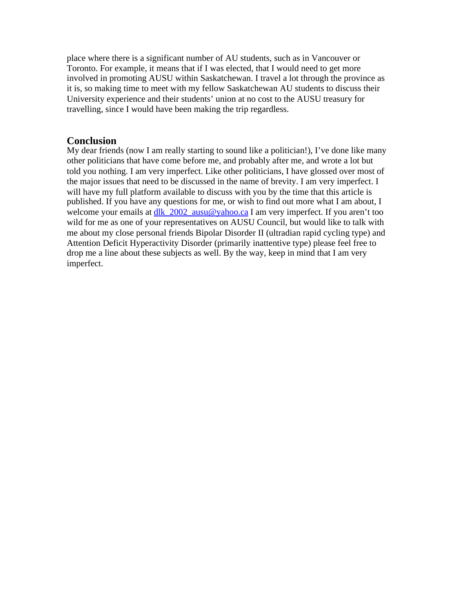place where there is a significant number of AU students, such as in Vancouver or Toronto. For example, it means that if I was elected, that I would need to get more involved in promoting AUSU within Saskatchewan. I travel a lot through the province as it is, so making time to meet with my fellow Saskatchewan AU students to discuss their University experience and their students' union at no cost to the AUSU treasury for travelling, since I would have been making the trip regardless.

#### **Conclusion**

My dear friends (now I am really starting to sound like a politician!), I've done like many other politicians that have come before me, and probably after me, and wrote a lot but told you nothing. I am very imperfect. Like other politicians, I have glossed over most of the major issues that need to be discussed in the name of brevity. I am very imperfect. I will have my full platform available to discuss with you by the time that this article is published. If you have any questions for me, or wish to find out more what I am about, I welcome your emails at  $d$ lk  $2002$  ausu@yahoo.ca I am very imperfect. If you aren't too wild for me as one of your representatives on AUSU Council, but would like to talk with me about my close personal friends Bipolar Disorder II (ultradian rapid cycling type) and Attention Deficit Hyperactivity Disorder (primarily inattentive type) please feel free to drop me a line about these subjects as well. By the way, keep in mind that I am very imperfect.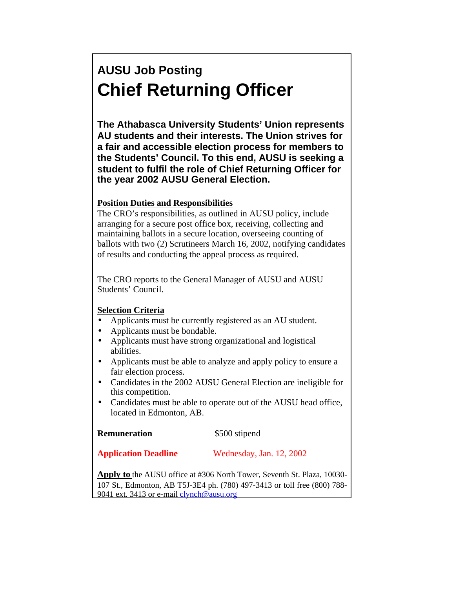# **AUSU Job Posting Chief Returning Officer**

**The Athabasca University Students' Union represents AU students and their interests. The Union strives for a fair and accessible election process for members to the Students' Council. To this end, AUSU is seeking a student to fulfil the role of Chief Returning Officer for the year 2002 AUSU General Election.**

#### **Position Duties and Responsibilities**

The CRO's responsibilities, as outlined in AUSU policy, include arranging for a secure post office box, receiving, collecting and maintaining ballots in a secure location, overseeing counting of ballots with two (2) Scrutineers March 16, 2002, notifying candidates of results and conducting the appeal process as required.

The CRO reports to the General Manager of AUSU and AUSU Students' Council.

#### **Selection Criteria**

- Applicants must be currently registered as an AU student.
- Applicants must be bondable.
- Applicants must have strong organizational and logistical abilities.
- Applicants must be able to analyze and apply policy to ensure a fair election process.
- Candidates in the 2002 AUSU General Election are ineligible for this competition.
- Candidates must be able to operate out of the AUSU head office, located in Edmonton, AB.

| <b>Remuneration</b> | \$500 stipend |
|---------------------|---------------|
|---------------------|---------------|

#### **Application Deadline** Wednesday, Jan. 12, 2002

**Apply to** the AUSU office at #306 North Tower, Seventh St. Plaza, 10030- 107 St., Edmonton, AB T5J-3E4 ph. (780) 497-3413 or toll free (800) 788 9041 ext. 3413 or e-mail [clynch@ausu.org](mailto:clynch@ausu.org)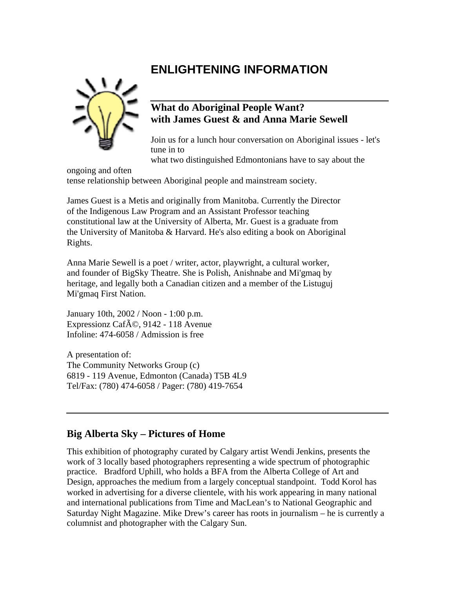## **ENLIGHTENING INFORMATION**



#### **What do Aboriginal People Want? with James Guest & and Anna Marie Sewell**

Join us for a lunch hour conversation on Aboriginal issues - let's tune in to

what two distinguished Edmontonians have to say about the

ongoing and often tense relationship between Aboriginal people and mainstream society.

James Guest is a Metis and originally from Manitoba. Currently the Director of the Indigenous Law Program and an Assistant Professor teaching constitutional law at the University of Alberta, Mr. Guest is a graduate from the University of Manitoba & Harvard. He's also editing a book on Aboriginal Rights.

Anna Marie Sewell is a poet / writer, actor, playwright, a cultural worker, and founder of BigSky Theatre. She is Polish, Anishnabe and Mi'gmaq by heritage, and legally both a Canadian citizen and a member of the Listuguj Mi'gmaq First Nation.

January 10th, 2002 / Noon - 1:00 p.m. Expressionz Caf $\tilde{A}$ ©, 9142 - 118 Avenue Infoline: 474-6058 / Admission is free

A presentation of: The Community Networks Group (c) 6819 - 119 Avenue, Edmonton (Canada) T5B 4L9 Tel/Fax: (780) 474-6058 / Pager: (780) 419-7654

### **Big Alberta Sky – Pictures of Home**

This exhibition of photography curated by Calgary artist Wendi Jenkins, presents the work of 3 locally based photographers representing a wide spectrum of photographic practice. Bradford Uphill, who holds a BFA from the Alberta College of Art and Design, approaches the medium from a largely conceptual standpoint. Todd Korol has worked in advertising for a diverse clientele, with his work appearing in many national and international publications from Time and MacLean's to National Geographic and Saturday Night Magazine. Mike Drew's career has roots in journalism – he is currently a columnist and photographer with the Calgary Sun.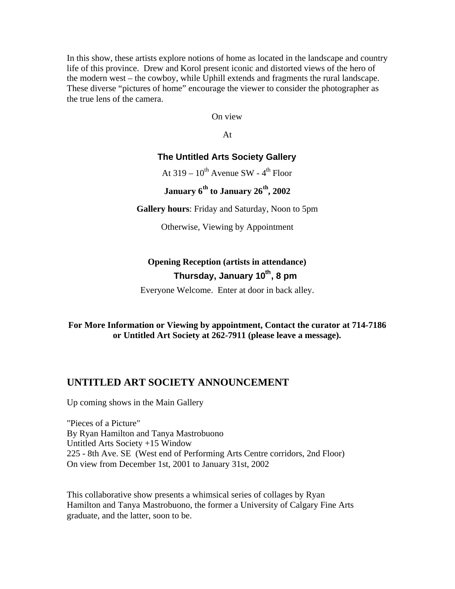In this show, these artists explore notions of home as located in the landscape and country life of this province. Drew and Korol present iconic and distorted views of the hero of the modern west – the cowboy, while Uphill extends and fragments the rural landscape. These diverse "pictures of home" encourage the viewer to consider the photographer as the true lens of the camera.

On view

At

#### **The Untitled Arts Society Gallery**

At  $319 - 10^{th}$  Avenue SW -  $4^{th}$  Floor

### **January 6th to January 26th, 2002**

**Gallery hours**: Friday and Saturday, Noon to 5pm

Otherwise, Viewing by Appointment

### **Opening Reception (artists in attendance) Thursday, January 10th, 8 pm**

Everyone Welcome. Enter at door in back alley.

#### **For More Information or Viewing by appointment, Contact the curator at 714-7186 or Untitled Art Society at 262-7911 (please leave a message).**

#### **UNTITLED ART SOCIETY ANNOUNCEMENT**

Up coming shows in the Main Gallery

"Pieces of a Picture" By Ryan Hamilton and Tanya Mastrobuono Untitled Arts Society +15 Window 225 - 8th Ave. SE (West end of Performing Arts Centre corridors, 2nd Floor) On view from December 1st, 2001 to January 31st, 2002

This collaborative show presents a whimsical series of collages by Ryan Hamilton and Tanya Mastrobuono, the former a University of Calgary Fine Arts graduate, and the latter, soon to be.